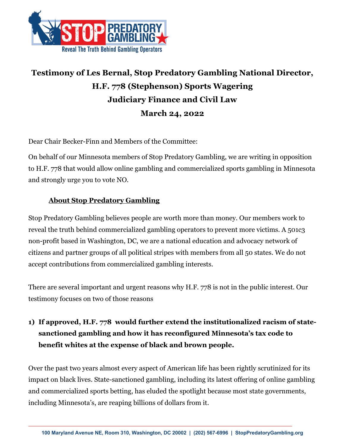

## **Testimony of Les Bernal, Stop Predatory Gambling National Director, H.F. 778 (Stephenson) Sports Wagering Judiciary Finance and Civil Law March 24, 2022**

Dear Chair Becker-Finn and Members of the Committee:

On behalf of our Minnesota members of Stop Predatory Gambling, we are writing in opposition to H.F. 778 that would allow online gambling and commercialized sports gambling in Minnesota and strongly urge you to vote NO.

## **About Stop Predatory Gambling**

Stop Predatory Gambling believes people are worth more than money. Our members work to reveal the truth behind commercialized gambling operators to prevent more victims. A 501c3 non-profit based in Washington, DC, we are a national education and advocacy network of citizens and partner groups of all political stripes with members from all 50 states. We do not accept contributions from commercialized gambling interests.

There are several important and urgent reasons why H.F. 778 is not in the public interest. Our testimony focuses on two of those reasons

## **1) If approved, H.F. 778 would further extend the institutionalized racism of statesanctioned gambling and how it has reconfigured Minnesota's tax code to benefit whites at the expense of black and brown people.**

Over the past two years almost every aspect of American life has been rightly scrutinized for its impact on black lives. State-sanctioned gambling, including its latest offering of online gambling and commercialized sports betting, has eluded the spotlight because most state governments, including Minnesota's, are reaping billions of dollars from it.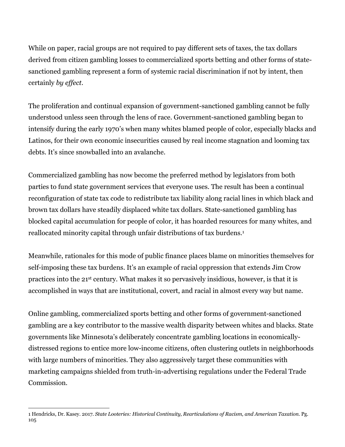While on paper, racial groups are not required to pay different sets of taxes, the tax dollars derived from citizen gambling losses to commercialized sports betting and other forms of statesanctioned gambling represent a form of systemic racial discrimination if not by intent, then certainly *by effect.*

The proliferation and continual expansion of government-sanctioned gambling cannot be fully understood unless seen through the lens of race. Government-sanctioned gambling began to intensify during the early 1970's when many whites blamed people of color, especially blacks and Latinos, for their own economic insecurities caused by real income stagnation and looming tax debts. It's since snowballed into an avalanche.

Commercialized gambling has now become the preferred method by legislators from both parties to fund state government services that everyone uses. The result has been a continual reconfiguration of state tax code to redistribute tax liability along racial lines in which black and brown tax dollars have steadily displaced white tax dollars. State-sanctioned gambling has blocked capital accumulation for people of color, it has hoarded resources for many whites, and reallocated minority capital through unfair distributions of tax burdens.1

Meanwhile, rationales for this mode of public finance places blame on minorities themselves for self-imposing these tax burdens. It's an example of racial oppression that extends Jim Crow practices into the 21st century. What makes it so pervasively insidious, however, is that it is accomplished in ways that are institutional, covert, and racial in almost every way but name.

Online gambling, commercialized sports betting and other forms of government-sanctioned gambling are a key contributor to the massive wealth disparity between whites and blacks. State governments like Minnesota's deliberately concentrate gambling locations in economicallydistressed regions to entice more low-income citizens, often clustering outlets in neighborhoods with large numbers of minorities. They also aggressively target these communities with marketing campaigns shielded from truth-in-advertising regulations under the Federal Trade Commission.

<sup>1</sup> Hendricks, Dr. Kasey. 2017. *State Looteries: Historical Continuity, Rearticulations of Racism, and American Taxation.* Pg. 105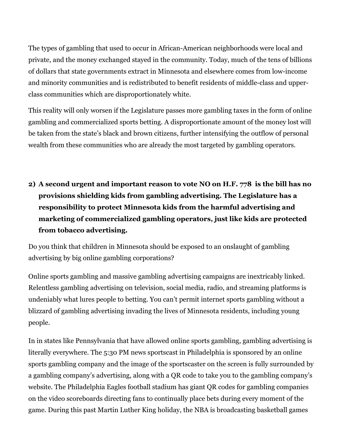The types of gambling that used to occur in African-American neighborhoods were local and private, and the money exchanged stayed in the community. Today, much of the tens of billions of dollars that state governments extract in Minnesota and elsewhere comes from low-income and minority communities and is redistributed to benefit residents of middle-class and upperclass communities which are disproportionately white.

This reality will only worsen if the Legislature passes more gambling taxes in the form of online gambling and commercialized sports betting. A disproportionate amount of the money lost will be taken from the state's black and brown citizens, further intensifying the outflow of personal wealth from these communities who are already the most targeted by gambling operators.

**2) A second urgent and important reason to vote NO on H.F. 778 is the bill has no provisions shielding kids from gambling advertising. The Legislature has a responsibility to protect Minnesota kids from the harmful advertising and marketing of commercialized gambling operators, just like kids are protected from tobacco advertising.**

Do you think that children in Minnesota should be exposed to an onslaught of gambling advertising by big online gambling corporations?

Online sports gambling and massive gambling advertising campaigns are inextricably linked. Relentless gambling advertising on television, social media, radio, and streaming platforms is undeniably what lures people to betting. You can't permit internet sports gambling without a blizzard of gambling advertising invading the lives of Minnesota residents, including young people.

In in states like Pennsylvania that have allowed online sports gambling, gambling advertising is literally everywhere. The 5:30 PM news sportscast in Philadelphia is sponsored by an online sports gambling company and the image of the sportscaster on the screen is fully surrounded by a gambling company's advertising, along with a QR code to take you to the gambling company's website. The Philadelphia Eagles football stadium has giant QR codes for gambling companies on the video scoreboards directing fans to continually place bets during every moment of the game. During this past Martin Luther King holiday, the NBA is broadcasting basketball games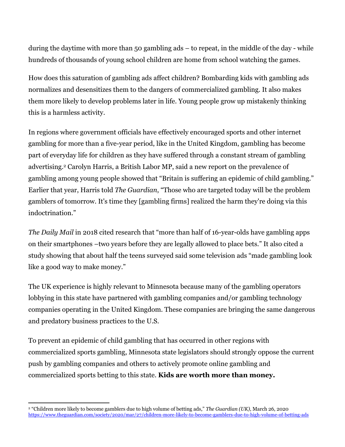during the daytime with more than 50 gambling ads – to repeat, in the middle of the day - while hundreds of thousands of young school children are home from school watching the games.

How does this saturation of gambling ads affect children? Bombarding kids with gambling ads normalizes and desensitizes them to the dangers of commercialized gambling. It also makes them more likely to develop problems later in life. Young people grow up mistakenly thinking this is a harmless activity.

In regions where government officials have effectively encouraged sports and other internet gambling for more than a five-year period, like in the United Kingdom, gambling has become part of everyday life for children as they have suffered through a constant stream of gambling advertising.2 Carolyn Harris, a British Labor MP, said a new report on the prevalence of gambling among young people showed that "Britain is suffering an epidemic of child gambling." Earlier that year, Harris told *The Guardian*, "Those who are targeted today will be the problem gamblers of tomorrow. It's time they [gambling firms] realized the harm they're doing via this indoctrination."

*The Daily Mail* in 2018 cited research that "more than half of 16-year-olds have gambling apps on their smartphones –two years before they are legally allowed to place bets." It also cited a study showing that about half the teens surveyed said some television ads "made gambling look like a good way to make money."

The UK experience is highly relevant to Minnesota because many of the gambling operators lobbying in this state have partnered with gambling companies and/or gambling technology companies operating in the United Kingdom. These companies are bringing the same dangerous and predatory business practices to the U.S.

To prevent an epidemic of child gambling that has occurred in other regions with commercialized sports gambling, Minnesota state legislators should strongly oppose the current push by gambling companies and others to actively promote online gambling and commercialized sports betting to this state. **Kids are worth more than money.**

<sup>2</sup> "Children more likely to become gamblers due to high volume of betting ads," *The Guardian (UK),* March 26, 2020 https://www.theguardian.com/society/2020/mar/27/children-more-likely-to-become-gamblers-due-to-high-volume-of-betting-ads